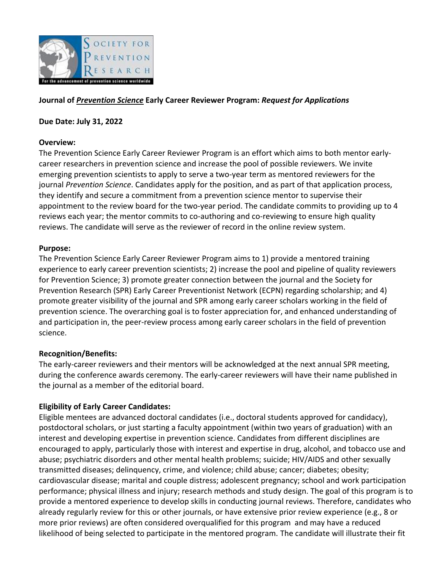

## **Journal of** *Prevention Science* **Early Career Reviewer Program:** *Request for Applications*

#### **Due Date: July 31, 2022**

#### **Overview:**

The Prevention Science Early Career Reviewer Program is an effort which aims to both mentor earlycareer researchers in prevention science and increase the pool of possible reviewers. We invite emerging prevention scientists to apply to serve a two-year term as mentored reviewers for the journal *Prevention Science*. Candidates apply for the position, and as part of that application process, they identify and secure a commitment from a prevention science mentor to supervise their appointment to the review board for the two-year period. The candidate commits to providing up to 4 reviews each year; the mentor commits to co-authoring and co-reviewing to ensure high quality reviews. The candidate will serve as the reviewer of record in the online review system.

## **Purpose:**

The Prevention Science Early Career Reviewer Program aims to 1) provide a mentored training experience to early career prevention scientists; 2) increase the pool and pipeline of quality reviewers for Prevention Science; 3) promote greater connection between the journal and the Society for Prevention Research (SPR) Early Career Preventionist Network (ECPN) regarding scholarship; and 4) promote greater visibility of the journal and SPR among early career scholars working in the field of prevention science. The overarching goal is to foster appreciation for, and enhanced understanding of and participation in, the peer-review process among early career scholars in the field of prevention science.

## **Recognition/Benefits:**

The early-career reviewers and their mentors will be acknowledged at the next annual SPR meeting, during the conference awards ceremony. The early-career reviewers will have their name published in the journal as a member of the editorial board.

## **Eligibility of Early Career Candidates:**

Eligible mentees are advanced doctoral candidates (i.e., doctoral students approved for candidacy), postdoctoral scholars, or just starting a faculty appointment (within two years of graduation) with an interest and developing expertise in prevention science. Candidates from different disciplines are encouraged to apply, particularly those with interest and expertise in drug, alcohol, and tobacco use and abuse; psychiatric disorders and other mental health problems; suicide; HIV/AIDS and other sexually transmitted diseases; delinquency, crime, and violence; child abuse; cancer; diabetes; obesity; cardiovascular disease; marital and couple distress; adolescent pregnancy; school and work participation performance; physical illness and injury; research methods and study design. The goal of this program is to provide a mentored experience to develop skills in conducting journal reviews. Therefore, candidates who already regularly review for this or other journals, or have extensive prior review experience (e.g., 8 or more prior reviews) are often considered overqualified for this program and may have a reduced likelihood of being selected to participate in the mentored program. The candidate will illustrate their fit